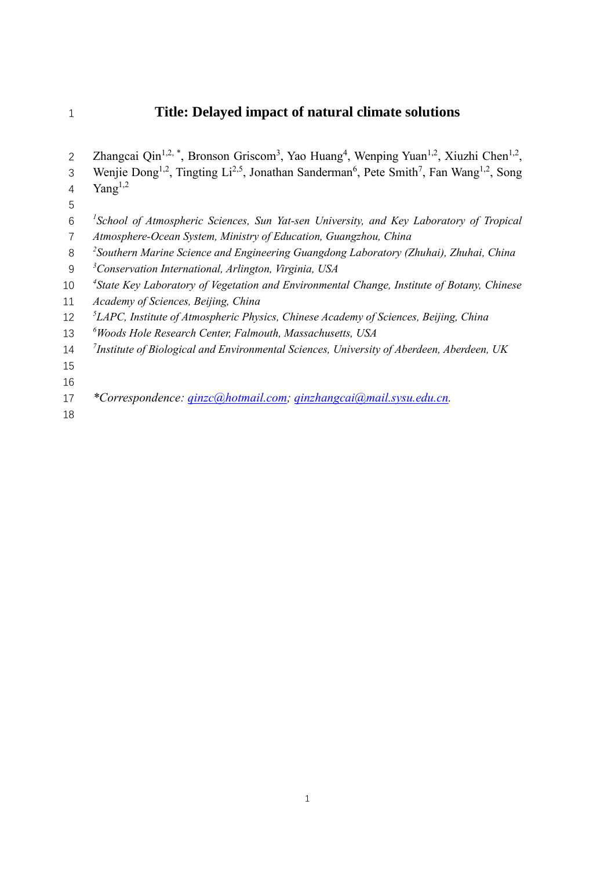# **Title: Delayed impact of natural climate solutions**

| $\overline{2}$ | Zhangcai Qin <sup>1,2,*</sup> , Bronson Griscom <sup>3</sup> , Yao Huang <sup>4</sup> , Wenping Yuan <sup>1,2</sup> , Xiuzhi Chen <sup>1,2</sup> ,   |
|----------------|------------------------------------------------------------------------------------------------------------------------------------------------------|
| 3              | Wenjie Dong <sup>1,2</sup> , Tingting Li <sup>2,5</sup> , Jonathan Sanderman <sup>6</sup> , Pete Smith <sup>7</sup> , Fan Wang <sup>1,2</sup> , Song |
| 4              | Yang <sup>1,2</sup>                                                                                                                                  |
| 5              |                                                                                                                                                      |
| 6              | <sup>1</sup> School of Atmospheric Sciences, Sun Yat-sen University, and Key Laboratory of Tropical                                                  |
| $\overline{7}$ | Atmosphere-Ocean System, Ministry of Education, Guangzhou, China                                                                                     |
| 8              | <sup>2</sup> Southern Marine Science and Engineering Guangdong Laboratory (Zhuhai), Zhuhai, China                                                    |
| 9              | <sup>3</sup> Conservation International, Arlington, Virginia, USA                                                                                    |
| 10             | <sup>4</sup> State Key Laboratory of Vegetation and Environmental Change, Institute of Botany, Chinese                                               |
| 11             | Academy of Sciences, Beijing, China                                                                                                                  |
| 12             | <sup>5</sup> LAPC, Institute of Atmospheric Physics, Chinese Academy of Sciences, Beijing, China                                                     |
| 13             | <sup>6</sup> Woods Hole Research Center, Falmouth, Massachusetts, USA                                                                                |
| 14             | <sup>7</sup> Institute of Biological and Environmental Sciences, University of Aberdeen, Aberdeen, UK                                                |
| 15             |                                                                                                                                                      |
| 16             |                                                                                                                                                      |
| 17             | *Correspondence: qinzc@hotmail.com; qinzhangcai@mail.sysu.edu.cn.                                                                                    |
| 18             |                                                                                                                                                      |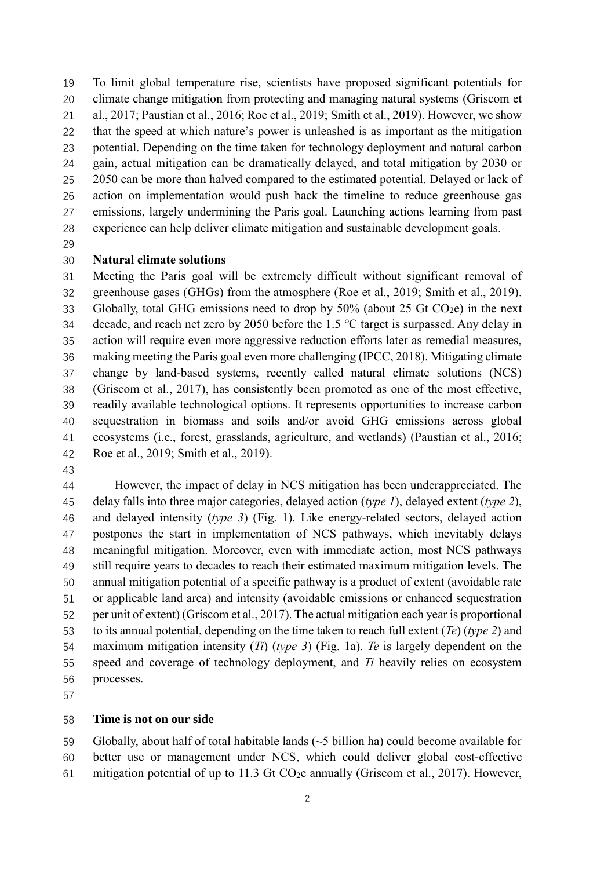To limit global temperature rise, scientists have proposed significant potentials for climate change mitigation from protecting and managing natural systems (Griscom et al., 2017; Paustian et al., 2016; Roe et al., 2019; Smith et al., 2019). However, we show that the speed at which nature's power is unleashed is as important as the mitigation potential. Depending on the time taken for technology deployment and natural carbon gain, actual mitigation can be dramatically delayed, and total mitigation by 2030 or 25 2050 can be more than halved compared to the estimated potential. Delayed or lack of action on implementation would push back the timeline to reduce greenhouse gas emissions, largely undermining the Paris goal. Launching actions learning from past experience can help deliver climate mitigation and sustainable development goals.

## **Natural climate solutions**

 Meeting the Paris goal will be extremely difficult without significant removal of greenhouse gases (GHGs) from the atmosphere (Roe et al., 2019; Smith et al., 2019). 33 Globally, total GHG emissions need to drop by  $50\%$  (about 25 Gt CO<sub>2</sub>e) in the next decade, and reach net zero by 2050 before the 1.5 ℃ target is surpassed. Any delay in action will require even more aggressive reduction efforts later as remedial measures, making meeting the Paris goal even more challenging (IPCC, 2018). Mitigating climate change by land-based systems, recently called natural climate solutions (NCS) (Griscom et al., 2017), has consistently been promoted as one of the most effective, readily available technological options. It represents opportunities to increase carbon sequestration in biomass and soils and/or avoid GHG emissions across global ecosystems (i.e., forest, grasslands, agriculture, and wetlands) (Paustian et al., 2016; Roe et al., 2019; Smith et al., 2019).

 However, the impact of delay in NCS mitigation has been underappreciated. The delay falls into three major categories, delayed action (*type 1*), delayed extent (*type 2*), and delayed intensity (*type 3*) (Fig. 1). Like energy-related sectors, delayed action postpones the start in implementation of NCS pathways, which inevitably delays meaningful mitigation. Moreover, even with immediate action, most NCS pathways still require years to decades to reach their estimated maximum mitigation levels. The annual mitigation potential of a specific pathway is a product of extent (avoidable rate or applicable land area) and intensity (avoidable emissions or enhanced sequestration per unit of extent) (Griscom et al., 2017). The actual mitigation each year is proportional to its annual potential, depending on the time taken to reach full extent (*Te*) (*type 2*) and maximum mitigation intensity (*Ti*) (*type 3*) (Fig. 1a). *Te* is largely dependent on the speed and coverage of technology deployment, and *Ti* heavily relies on ecosystem processes.

### **Time is not on our side**

 Globally, about half of total habitable lands (~5 billion ha) could become available for better use or management under NCS, which could deliver global cost-effective

61 mitigation potential of up to 11.3 Gt CO<sub>2</sub>e annually (Griscom et al., 2017). However,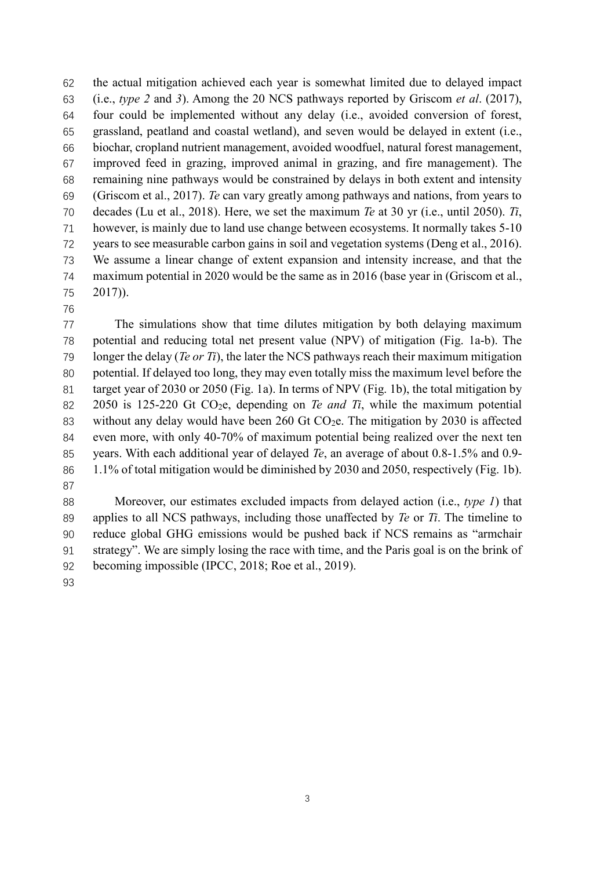the actual mitigation achieved each year is somewhat limited due to delayed impact (i.e., *type 2* and *3*). Among the 20 NCS pathways reported by Griscom *et al*. (2017), four could be implemented without any delay (i.e., avoided conversion of forest, grassland, peatland and coastal wetland), and seven would be delayed in extent (i.e., biochar, cropland nutrient management, avoided woodfuel, natural forest management, improved feed in grazing, improved animal in grazing, and fire management). The remaining nine pathways would be constrained by delays in both extent and intensity (Griscom et al., 2017). *Te* can vary greatly among pathways and nations, from years to decades (Lu et al., 2018). Here, we set the maximum *Te* at 30 yr (i.e., until 2050). *Ti*, however, is mainly due to land use change between ecosystems. It normally takes 5-10 years to see measurable carbon gains in soil and vegetation systems (Deng et al., 2016). We assume a linear change of extent expansion and intensity increase, and that the maximum potential in 2020 would be the same as in 2016 (base year in (Griscom et al., 2017)).

 The simulations show that time dilutes mitigation by both delaying maximum potential and reducing total net present value (NPV) of mitigation (Fig. 1a-b). The longer the delay (*Te or Ti*), the later the NCS pathways reach their maximum mitigation potential. If delayed too long, they may even totally miss the maximum level before the 81 target year of 2030 or 2050 (Fig. 1a). In terms of NPV (Fig. 1b), the total mitigation by 2050 is 125-220 Gt CO2e, depending on *Te and Ti*, while the maximum potential 83 without any delay would have been 260 Gt CO<sub>2</sub>e. The mitigation by 2030 is affected even more, with only 40-70% of maximum potential being realized over the next ten years. With each additional year of delayed *Te*, an average of about 0.8-1.5% and 0.9- 1.1% of total mitigation would be diminished by 2030 and 2050, respectively (Fig. 1b). 

 Moreover, our estimates excluded impacts from delayed action (i.e., *type 1*) that applies to all NCS pathways, including those unaffected by *Te* or *Ti*. The timeline to reduce global GHG emissions would be pushed back if NCS remains as "armchair strategy". We are simply losing the race with time, and the Paris goal is on the brink of becoming impossible (IPCC, 2018; Roe et al., 2019).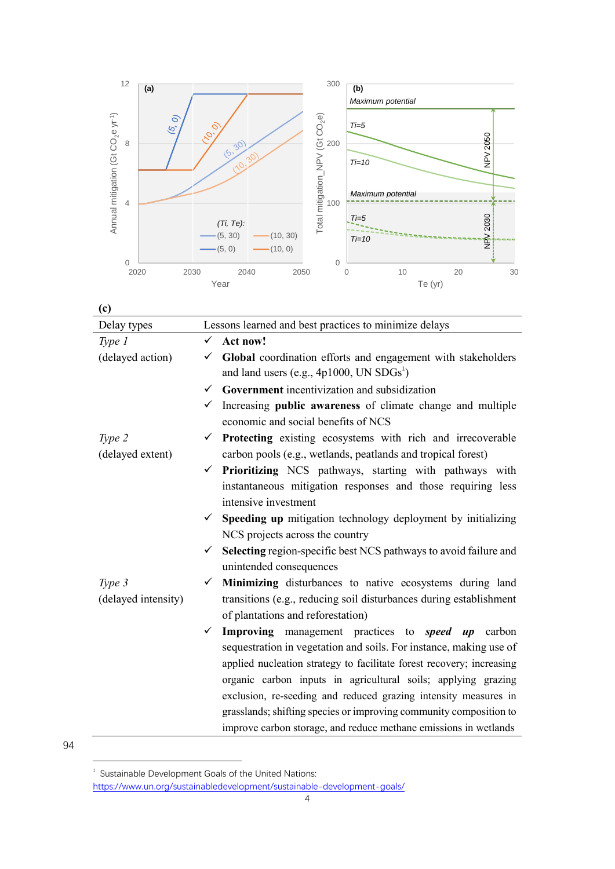

| (c)                 |                                                                                  |  |  |  |  |
|---------------------|----------------------------------------------------------------------------------|--|--|--|--|
| Delay types         | Lessons learned and best practices to minimize delays                            |  |  |  |  |
| Type 1              | Act now!<br>$\checkmark$                                                         |  |  |  |  |
| (delayed action)    | Global coordination efforts and engagement with stakeholders<br>✓                |  |  |  |  |
|                     | and land users (e.g., $4p1000$ , UN $SDGs^1$ )                                   |  |  |  |  |
|                     | $\checkmark$ Government incentivization and subsidization                        |  |  |  |  |
|                     | $\checkmark$ Increasing <b>public awareness</b> of climate change and multiple   |  |  |  |  |
|                     | economic and social benefits of NCS                                              |  |  |  |  |
| Type 2              | <b>Protecting</b> existing ecosystems with rich and irrecoverable<br>✓           |  |  |  |  |
| (delayed extent)    | carbon pools (e.g., wetlands, peatlands and tropical forest)                     |  |  |  |  |
|                     | $\checkmark$ Prioritizing NCS pathways, starting with pathways with              |  |  |  |  |
|                     | instantaneous mitigation responses and those requiring less                      |  |  |  |  |
|                     | intensive investment                                                             |  |  |  |  |
|                     | $\checkmark$ Speeding up mitigation technology deployment by initializing        |  |  |  |  |
|                     | NCS projects across the country                                                  |  |  |  |  |
|                     | Selecting region-specific best NCS pathways to avoid failure and<br>$\checkmark$ |  |  |  |  |
|                     | unintended consequences                                                          |  |  |  |  |
| Type 3              | Minimizing disturbances to native ecosystems during land<br>✓                    |  |  |  |  |
| (delayed intensity) | transitions (e.g., reducing soil disturbances during establishment               |  |  |  |  |
|                     | of plantations and reforestation)                                                |  |  |  |  |
|                     | Improving management practices to <i>speed up</i> carbon<br>✓                    |  |  |  |  |
|                     | sequestration in vegetation and soils. For instance, making use of               |  |  |  |  |
|                     | applied nucleation strategy to facilitate forest recovery; increasing            |  |  |  |  |
|                     | organic carbon inputs in agricultural soils; applying grazing                    |  |  |  |  |
|                     | exclusion, re-seeding and reduced grazing intensity measures in                  |  |  |  |  |
|                     | grasslands; shifting species or improving community composition to               |  |  |  |  |
|                     | improve carbon storage, and reduce methane emissions in wetlands                 |  |  |  |  |

 1 Sustainable Development Goals of the United Nations: <https://www.un.org/sustainabledevelopment/sustainable-development-goals/>

94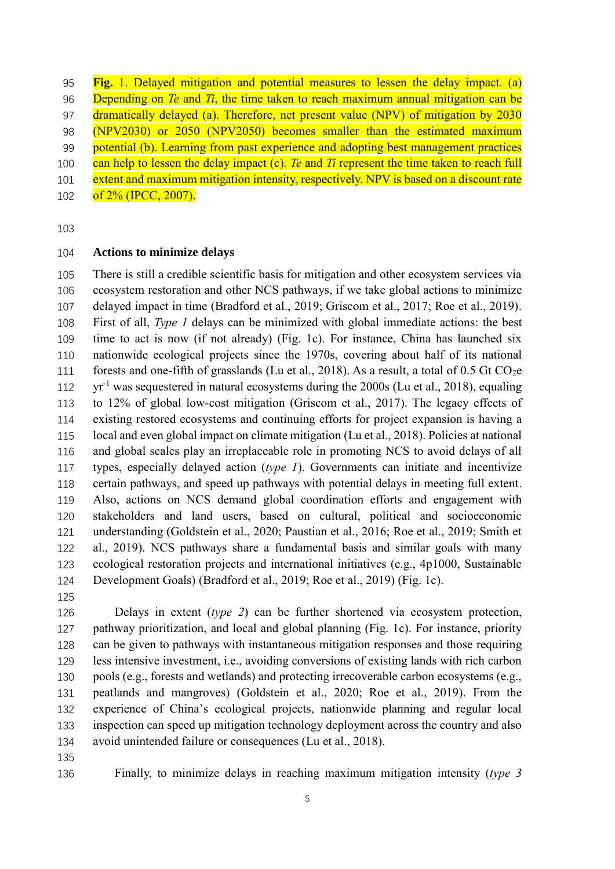**Fig.** 1. Delayed mitigation and potential measures to lessen the delay impact. (a) Depending on *Te* and *Ti*, the time taken to reach maximum annual mitigation can be dramatically delayed (a). Therefore, net present value (NPV) of mitigation by 2030 (NPV2030) or 2050 (NPV2050) becomes smaller than the estimated maximum 99 potential (b). Learning from past experience and adopting best management practices can help to lessen the delay impact (c). *Te* and *Ti* represent the time taken to reach full 101 extent and maximum mitigation intensity, respectively. NPV is based on a discount rate 102 of 2% (IPCC, 2007).

#### **Actions to minimize delays**

 There is still a credible scientific basis for mitigation and other ecosystem services via ecosystem restoration and other NCS pathways, if we take global actions to minimize delayed impact in time (Bradford et al., 2019; Griscom et al., 2017; Roe et al., 2019). First of all, *Type 1* delays can be minimized with global immediate actions: the best time to act is now (if not already) (Fig. 1c). For instance, China has launched six nationwide ecological projects since the 1970s, covering about half of its national 111 forests and one-fifth of grasslands (Lu et al., 2018). As a result, a total of  $0.5$  Gt CO<sub>2</sub>e 112 yr<sup>-1</sup> was sequestered in natural ecosystems during the 2000s (Lu et al., 2018), equaling to 12% of global low-cost mitigation (Griscom et al., 2017). The legacy effects of existing restored ecosystems and continuing efforts for project expansion is having a local and even global impact on climate mitigation (Lu et al., 2018). Policies at national and global scales play an irreplaceable role in promoting NCS to avoid delays of all types, especially delayed action (*type 1*). Governments can initiate and incentivize certain pathways, and speed up pathways with potential delays in meeting full extent. Also, actions on NCS demand global coordination efforts and engagement with stakeholders and land users, based on cultural, political and socioeconomic understanding (Goldstein et al., 2020; Paustian et al., 2016; Roe et al., 2019; Smith et al., 2019). NCS pathways share a fundamental basis and similar goals with many ecological restoration projects and international initiatives (e.g., 4p1000, Sustainable Development Goals) (Bradford et al., 2019; Roe et al., 2019) (Fig. 1c).

 Delays in extent (*type 2*) can be further shortened via ecosystem protection, pathway prioritization, and local and global planning (Fig. 1c). For instance, priority can be given to pathways with instantaneous mitigation responses and those requiring less intensive investment, i.e., avoiding conversions of existing lands with rich carbon pools (e.g., forests and wetlands) and protecting irrecoverable carbon ecosystems (e.g., peatlands and mangroves) (Goldstein et al., 2020; Roe et al., 2019). From the experience of China's ecological projects, nationwide planning and regular local inspection can speed up mitigation technology deployment across the country and also avoid unintended failure or consequences (Lu et al., 2018).

Finally, to minimize delays in reaching maximum mitigation intensity (*type 3*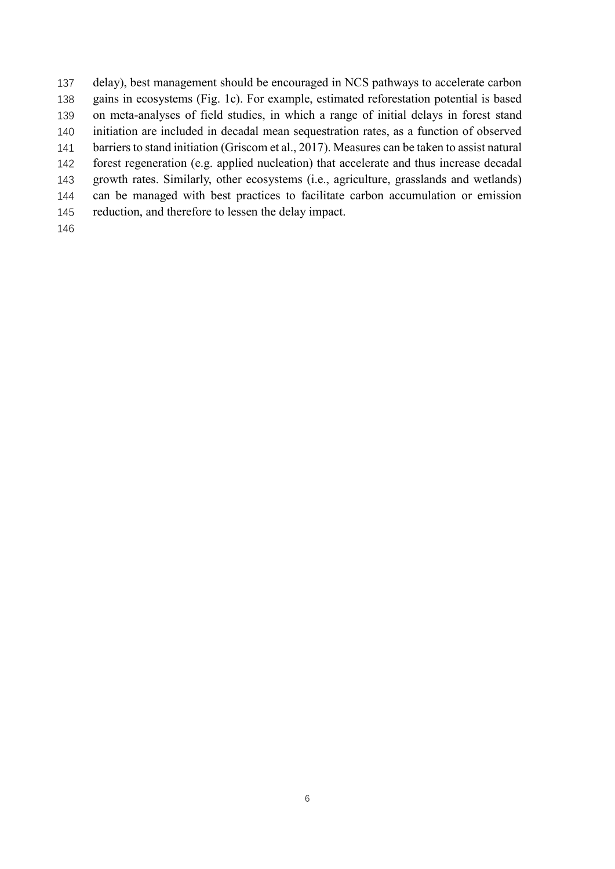delay), best management should be encouraged in NCS pathways to accelerate carbon gains in ecosystems (Fig. 1c). For example, estimated reforestation potential is based on meta-analyses of field studies, in which a range of initial delays in forest stand initiation are included in decadal mean sequestration rates, as a function of observed 141 barriers to stand initiation (Griscom et al., 2017). Measures can be taken to assist natural forest regeneration (e.g. applied nucleation) that accelerate and thus increase decadal growth rates. Similarly, other ecosystems (i.e., agriculture, grasslands and wetlands) can be managed with best practices to facilitate carbon accumulation or emission reduction, and therefore to lessen the delay impact.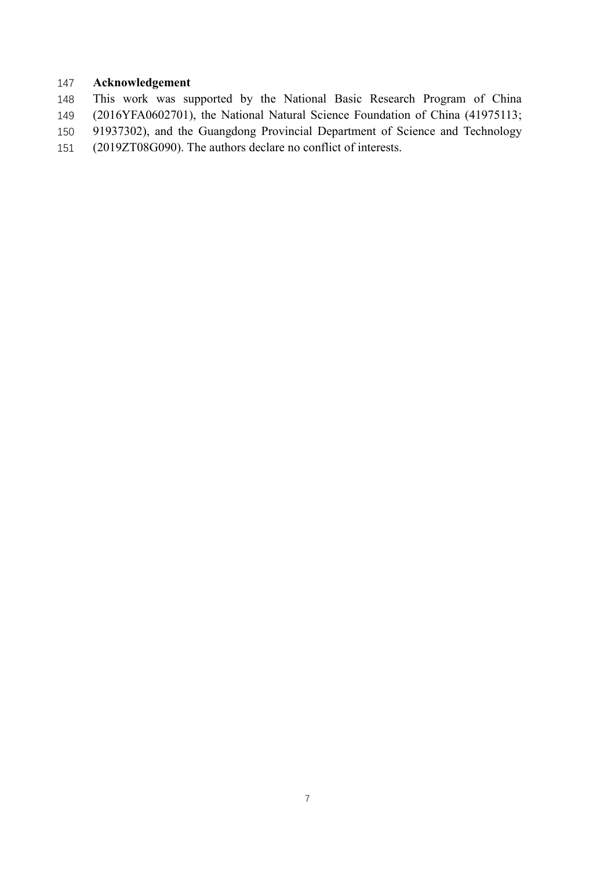# **Acknowledgement**

- This work was supported by the National Basic Research Program of China (2016YFA0602701), the National Natural Science Foundation of China (41975113; 91937302), and the Guangdong Provincial Department of Science and Technology
- (2019ZT08G090). The authors declare no conflict of interests.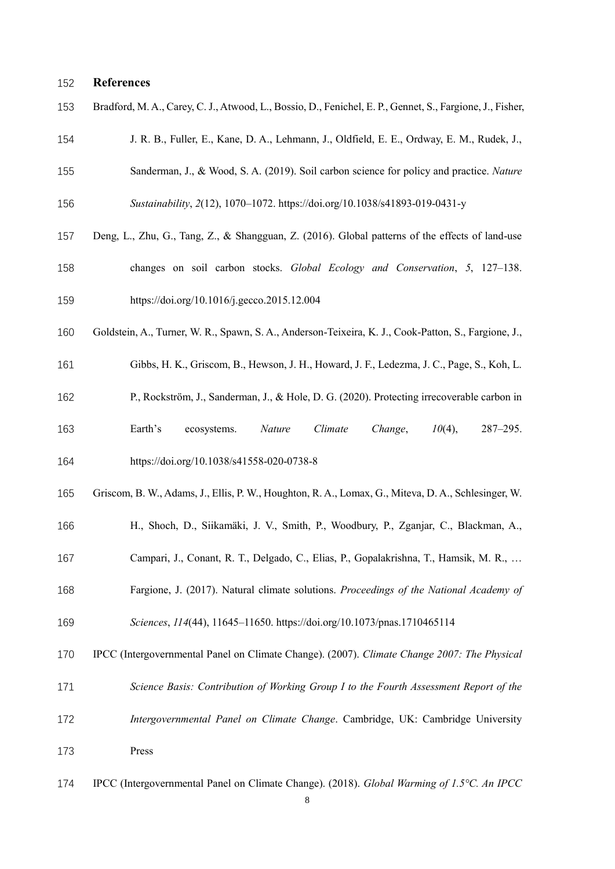#### **References**

|  |  |  |  |  |  |  | 153 Bradford, M. A., Carey, C. J., Atwood, L., Bossio, D., Fenichel, E. P., Gennet, S., Fargione, J., Fisher, |
|--|--|--|--|--|--|--|---------------------------------------------------------------------------------------------------------------|
|--|--|--|--|--|--|--|---------------------------------------------------------------------------------------------------------------|

- J. R. B., Fuller, E., Kane, D. A., Lehmann, J., Oldfield, E. E., Ordway, E. M., Rudek, J.,
- Sanderman, J., & Wood, S. A. (2019). Soil carbon science for policy and practice. *Nature Sustainability*, *2*(12), 1070–1072. https://doi.org/10.1038/s41893-019-0431-y
- 
- Deng, L., Zhu, G., Tang, Z., & Shangguan, Z. (2016). Global patterns of the effects of land-use changes on soil carbon stocks. *Global Ecology and Conservation*, *5*, 127–138.
- https://doi.org/10.1016/j.gecco.2015.12.004
- Goldstein, A., Turner, W. R., Spawn, S. A., Anderson-Teixeira, K. J., Cook-Patton, S., Fargione, J.,
- Gibbs, H. K., Griscom, B., Hewson, J. H., Howard, J. F., Ledezma, J. C., Page, S., Koh, L.
- P., Rockström, J., Sanderman, J., & Hole, D. G. (2020). Protecting irrecoverable carbon in
- Earth's ecosystems. *Nature Climate Change*, *10*(4), 287–295. https://doi.org/10.1038/s41558-020-0738-8
- Griscom, B. W., Adams, J., Ellis, P. W., Houghton, R. A., Lomax, G., Miteva, D. A., Schlesinger, W.
- H., Shoch, D., Siikamäki, J. V., Smith, P., Woodbury, P., Zganjar, C., Blackman, A.,
- Campari, J., Conant, R. T., Delgado, C., Elias, P., Gopalakrishna, T., Hamsik, M. R., …
- Fargione, J. (2017). Natural climate solutions. *Proceedings of the National Academy of Sciences*, *114*(44), 11645–11650. https://doi.org/10.1073/pnas.1710465114
- IPCC (Intergovernmental Panel on Climate Change). (2007). *Climate Change 2007: The Physical*
- 
- *Science Basis: Contribution of Working Group I to the Fourth Assessment Report of the*
- *Intergovernmental Panel on Climate Change*. Cambridge, UK: Cambridge University Press
- IPCC (Intergovernmental Panel on Climate Change). (2018). *Global Warming of 1.5°C. An IPCC*